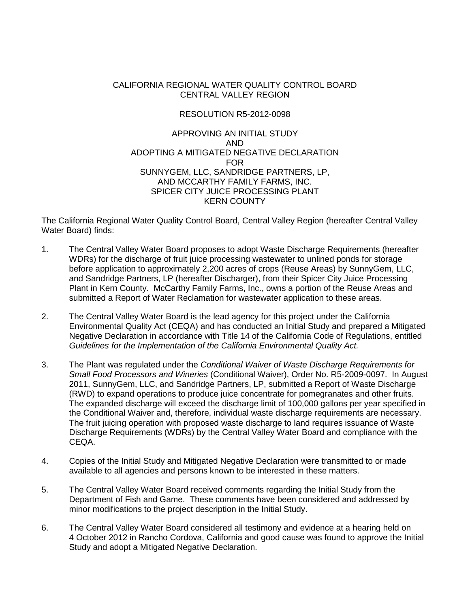#### CALIFORNIA REGIONAL WATER QUALITY CONTROL BOARD CENTRAL VALLEY REGION

#### RESOLUTION R5-2012-0098

#### APPROVING AN INITIAL STUDY AND ADOPTING A MITIGATED NEGATIVE DECLARATION FOR SUNNYGEM, LLC, SANDRIDGE PARTNERS, LP, AND MCCARTHY FAMILY FARMS, INC. SPICER CITY JUICE PROCESSING PLANT KERN COUNTY

The California Regional Water Quality Control Board, Central Valley Region (hereafter Central Valley Water Board) finds:

- 1. The Central Valley Water Board proposes to adopt Waste Discharge Requirements (hereafter WDRs) for the discharge of fruit juice processing wastewater to unlined ponds for storage before application to approximately 2,200 acres of crops (Reuse Areas) by SunnyGem, LLC, and Sandridge Partners, LP (hereafter Discharger), from their Spicer City Juice Processing Plant in Kern County. McCarthy Family Farms, Inc., owns a portion of the Reuse Areas and submitted a Report of Water Reclamation for wastewater application to these areas.
- 2. The Central Valley Water Board is the lead agency for this project under the California Environmental Quality Act (CEQA) and has conducted an Initial Study and prepared a Mitigated Negative Declaration in accordance with Title 14 of the California Code of Regulations, entitled *Guidelines for the Implementation of the California Environmental Quality Act.*
- 3. The Plant was regulated under the *Conditional Waiver of Waste Discharge Requirements for Small Food Processors and Wineries* (Conditional Waiver), Order No. R5-2009-0097. In August 2011, SunnyGem, LLC, and Sandridge Partners, LP, submitted a Report of Waste Discharge (RWD) to expand operations to produce juice concentrate for pomegranates and other fruits. The expanded discharge will exceed the discharge limit of 100,000 gallons per year specified in the Conditional Waiver and, therefore, individual waste discharge requirements are necessary. The fruit juicing operation with proposed waste discharge to land requires issuance of Waste Discharge Requirements (WDRs) by the Central Valley Water Board and compliance with the CEQA.
- 4. Copies of the Initial Study and Mitigated Negative Declaration were transmitted to or made available to all agencies and persons known to be interested in these matters.
- 5. The Central Valley Water Board received comments regarding the Initial Study from the Department of Fish and Game. These comments have been considered and addressed by minor modifications to the project description in the Initial Study.
- 6. The Central Valley Water Board considered all testimony and evidence at a hearing held on 4 October 2012 in Rancho Cordova, California and good cause was found to approve the Initial Study and adopt a Mitigated Negative Declaration.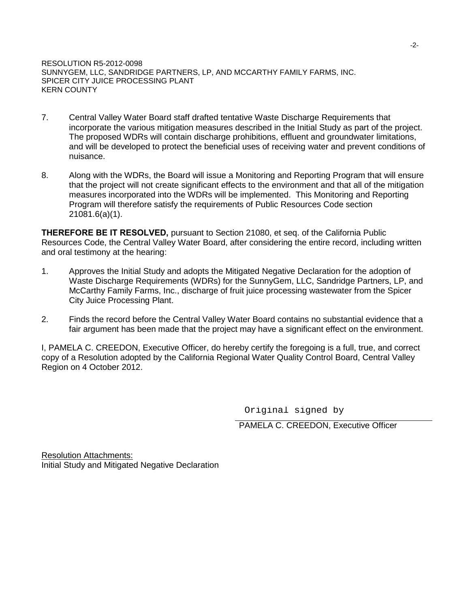RESOLUTION R5-2012-0098 SUNNYGEM, LLC, SANDRIDGE PARTNERS, LP, AND MCCARTHY FAMILY FARMS, INC. SPICER CITY JUICE PROCESSING PLANT KERN COUNTY

- 7. Central Valley Water Board staff drafted tentative Waste Discharge Requirements that incorporate the various mitigation measures described in the Initial Study as part of the project. The proposed WDRs will contain discharge prohibitions, effluent and groundwater limitations, and will be developed to protect the beneficial uses of receiving water and prevent conditions of nuisance.
- 8. Along with the WDRs, the Board will issue a Monitoring and Reporting Program that will ensure that the project will not create significant effects to the environment and that all of the mitigation measures incorporated into the WDRs will be implemented. This Monitoring and Reporting Program will therefore satisfy the requirements of Public Resources Code section 21081.6(a)(1).

**THEREFORE BE IT RESOLVED,** pursuant to Section 21080, et seq. of the California Public Resources Code, the Central Valley Water Board, after considering the entire record, including written and oral testimony at the hearing:

- 1. Approves the Initial Study and adopts the Mitigated Negative Declaration for the adoption of Waste Discharge Requirements (WDRs) for the SunnyGem, LLC, Sandridge Partners, LP, and McCarthy Family Farms, Inc., discharge of fruit juice processing wastewater from the Spicer City Juice Processing Plant.
- 2. Finds the record before the Central Valley Water Board contains no substantial evidence that a fair argument has been made that the project may have a significant effect on the environment.

I, PAMELA C. CREEDON, Executive Officer, do hereby certify the foregoing is a full, true, and correct copy of a Resolution adopted by the California Regional Water Quality Control Board, Central Valley Region on 4 October 2012.

Original signed by

PAMELA C. CREEDON, Executive Officer

Resolution Attachments: Initial Study and Mitigated Negative Declaration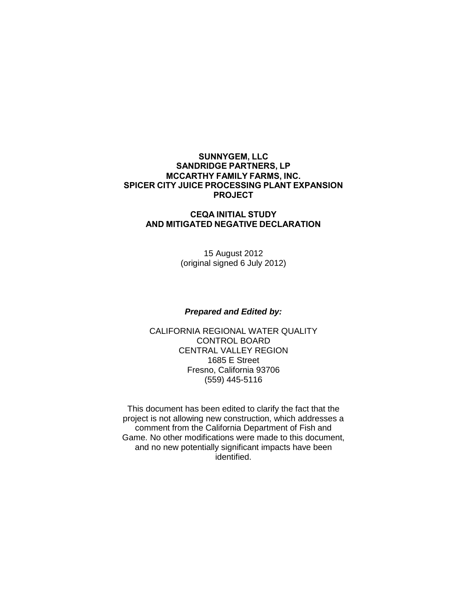#### **SUNNYGEM, LLC SANDRIDGE PARTNERS, LP MCCARTHY FAMILY FARMS, INC. SPICER CITY JUICE PROCESSING PLANT EXPANSION PROJECT**

#### **CEQA INITIAL STUDY AND MITIGATED NEGATIVE DECLARATION**

15 August 2012 (original signed 6 July 2012)

#### *Prepared and Edited by:*

CALIFORNIA REGIONAL WATER QUALITY CONTROL BOARD CENTRAL VALLEY REGION 1685 E Street Fresno, California 93706 (559) 445-5116

This document has been edited to clarify the fact that the project is not allowing new construction, which addresses a comment from the California Department of Fish and Game. No other modifications were made to this document, and no new potentially significant impacts have been identified.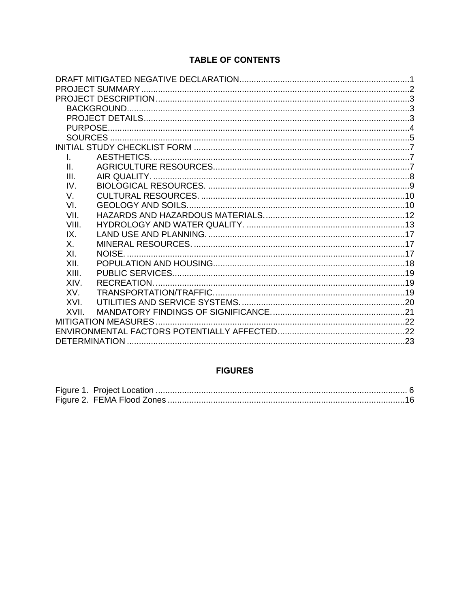# **TABLE OF CONTENTS**

| $\mathbf{L}$ |        |  |
|--------------|--------|--|
| Ш.           |        |  |
| III.         |        |  |
| IV           |        |  |
| V.           |        |  |
| VI.          |        |  |
| VII.         |        |  |
| VIII.        |        |  |
| IX.          |        |  |
| Χ.           |        |  |
| XI.          | NOISE. |  |
| XII.         |        |  |
| XIII.        |        |  |
| XIV.         |        |  |
| XV.          |        |  |
| XVI.         |        |  |
| XVII.        |        |  |
|              |        |  |
|              |        |  |
|              |        |  |

# **FIGURES**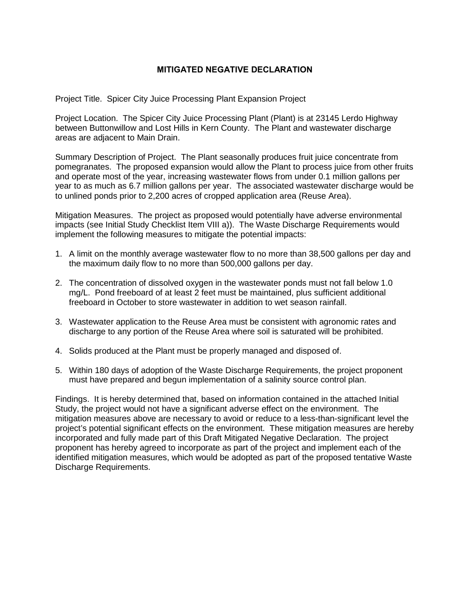#### **MITIGATED NEGATIVE DECLARATION**

Project Title. Spicer City Juice Processing Plant Expansion Project

Project Location. The Spicer City Juice Processing Plant (Plant) is at 23145 Lerdo Highway between Buttonwillow and Lost Hills in Kern County. The Plant and wastewater discharge areas are adjacent to Main Drain.

Summary Description of Project. The Plant seasonally produces fruit juice concentrate from pomegranates. The proposed expansion would allow the Plant to process juice from other fruits and operate most of the year, increasing wastewater flows from under 0.1 million gallons per year to as much as 6.7 million gallons per year. The associated wastewater discharge would be to unlined ponds prior to 2,200 acres of cropped application area (Reuse Area).

Mitigation Measures. The project as proposed would potentially have adverse environmental impacts (see Initial Study Checklist Item VIII a)). The Waste Discharge Requirements would implement the following measures to mitigate the potential impacts:

- 1. A limit on the monthly average wastewater flow to no more than 38,500 gallons per day and the maximum daily flow to no more than 500,000 gallons per day.
- 2. The concentration of dissolved oxygen in the wastewater ponds must not fall below 1.0 mg/L. Pond freeboard of at least 2 feet must be maintained, plus sufficient additional freeboard in October to store wastewater in addition to wet season rainfall.
- 3. Wastewater application to the Reuse Area must be consistent with agronomic rates and discharge to any portion of the Reuse Area where soil is saturated will be prohibited.
- 4. Solids produced at the Plant must be properly managed and disposed of.
- 5. Within 180 days of adoption of the Waste Discharge Requirements, the project proponent must have prepared and begun implementation of a salinity source control plan.

Findings. It is hereby determined that, based on information contained in the attached Initial Study, the project would not have a significant adverse effect on the environment. The mitigation measures above are necessary to avoid or reduce to a less-than-significant level the project's potential significant effects on the environment. These mitigation measures are hereby incorporated and fully made part of this Draft Mitigated Negative Declaration. The project proponent has hereby agreed to incorporate as part of the project and implement each of the identified mitigation measures, which would be adopted as part of the proposed tentative Waste Discharge Requirements.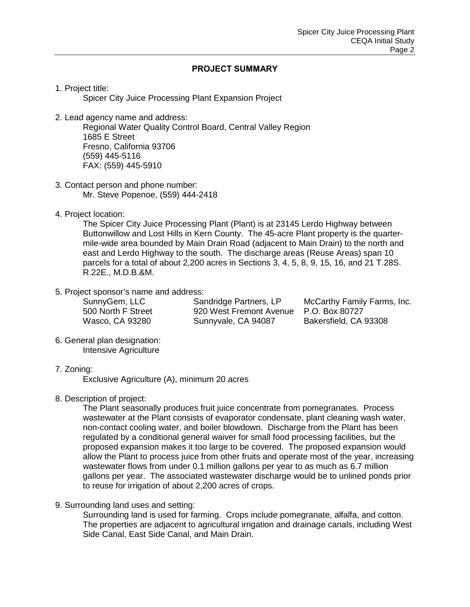#### **PROJECT SUMMARY**

1. Project title:

Spicer City Juice Processing Plant Expansion Project

2. Lead agency name and address:

Regional Water Quality Control Board, Central Valley Region 1685 E Street Fresno, California 93706 (559) 445-5116 FAX: (559) 445-5910

- 3. Contact person and phone number: Mr. Steve Popenoe, (559) 444-2418
- 4. Project location:

The Spicer City Juice Processing Plant (Plant) is at 23145 Lerdo Highway between Buttonwillow and Lost Hills in Kern County. The 45-acre Plant property is the quartermile-wide area bounded by Main Drain Road (adjacent to Main Drain) to the north and east and Lerdo Highway to the south. The discharge areas (Reuse Areas) span 10 parcels for a total of about 2,200 acres in Sections 3, 4, 5, 8, 9, 15, 16, and 21 T.28S. R.22E., M.D.B.&M.

5. Project sponsor's name and address:

SunnyGem, LLC 500 North F Street Wasco, CA 93280

Sandridge Partners, LP 920 West Fremont Avenue Sunnyvale, CA 94087

McCarthy Family Farms, Inc. P.O. Box 80727 Bakersfield, CA 93308

6. General plan designation: Intensive Agriculture

#### 7. Zoning:

Exclusive Agriculture (A), minimum 20 acres

#### 8. Description of project:

The Plant seasonally produces fruit juice concentrate from pomegranates. Process wastewater at the Plant consists of evaporator condensate, plant cleaning wash water, non-contact cooling water, and boiler blowdown. Discharge from the Plant has been regulated by a conditional general waiver for small food processing facilities, but the proposed expansion makes it too large to be covered. The proposed expansion would allow the Plant to process juice from other fruits and operate most of the year, increasing wastewater flows from under 0.1 million gallons per year to as much as 6.7 million gallons per year. The associated wastewater discharge would be to unlined ponds prior to reuse for irrigation of about 2,200 acres of crops.

9. Surrounding land uses and setting:

Surrounding land is used for farming. Crops include pomegranate, alfalfa, and cotton. The properties are adjacent to agricultural irrigation and drainage canals, including West Side Canal, East Side Canal, and Main Drain.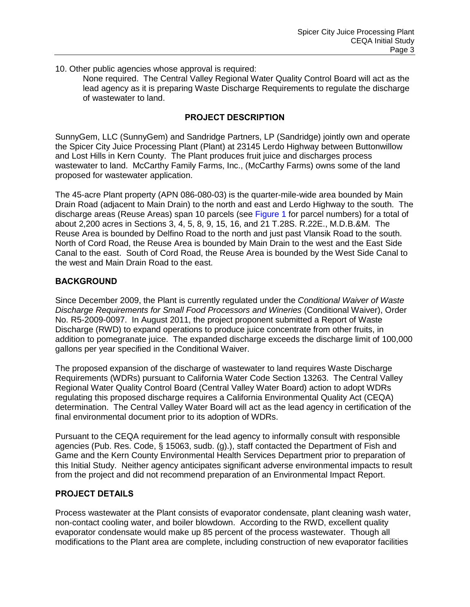10. Other public agencies whose approval is required:

None required. The Central Valley Regional Water Quality Control Board will act as the lead agency as it is preparing Waste Discharge Requirements to regulate the discharge of wastewater to land.

#### **PROJECT DESCRIPTION**

SunnyGem, LLC (SunnyGem) and Sandridge Partners, LP (Sandridge) jointly own and operate the Spicer City Juice Processing Plant (Plant) at 23145 Lerdo Highway between Buttonwillow and Lost Hills in Kern County. The Plant produces fruit juice and discharges process wastewater to land. McCarthy Family Farms, Inc., (McCarthy Farms) owns some of the land proposed for wastewater application.

The 45-acre Plant property (APN 086-080-03) is the quarter-mile-wide area bounded by Main Drain Road (adjacent to Main Drain) to the north and east and Lerdo Highway to the south. The discharge areas (Reuse Areas) span 10 parcels (see Figure 1 for parcel numbers) for a total of about 2,200 acres in Sections 3, 4, 5, 8, 9, 15, 16, and 21 T.28S. R.22E., M.D.B.&M. The Reuse Area is bounded by Delfino Road to the north and just past Vlansik Road to the south. North of Cord Road, the Reuse Area is bounded by Main Drain to the west and the East Side Canal to the east. South of Cord Road, the Reuse Area is bounded by the West Side Canal to the west and Main Drain Road to the east.

#### **BACKGROUND**

Since December 2009, the Plant is currently regulated under the *Conditional Waiver of Waste Discharge Requirements for Small Food Processors and Wineries* (Conditional Waiver), Order No. R5-2009-0097. In August 2011, the project proponent submitted a Report of Waste Discharge (RWD) to expand operations to produce juice concentrate from other fruits, in addition to pomegranate juice. The expanded discharge exceeds the discharge limit of 100,000 gallons per year specified in the Conditional Waiver.

The proposed expansion of the discharge of wastewater to land requires Waste Discharge Requirements (WDRs) pursuant to California Water Code Section 13263. The Central Valley Regional Water Quality Control Board (Central Valley Water Board) action to adopt WDRs regulating this proposed discharge requires a California Environmental Quality Act (CEQA) determination. The Central Valley Water Board will act as the lead agency in certification of the final environmental document prior to its adoption of WDRs.

Pursuant to the CEQA requirement for the lead agency to informally consult with responsible agencies (Pub. Res. Code, § 15063, sudb. (g).), staff contacted the Department of Fish and Game and the Kern County Environmental Health Services Department prior to preparation of this Initial Study. Neither agency anticipates significant adverse environmental impacts to result from the project and did not recommend preparation of an Environmental Impact Report.

#### **PROJECT DETAILS**

Process wastewater at the Plant consists of evaporator condensate, plant cleaning wash water, non-contact cooling water, and boiler blowdown. According to the RWD, excellent quality evaporator condensate would make up 85 percent of the process wastewater. Though all modifications to the Plant area are complete, including construction of new evaporator facilities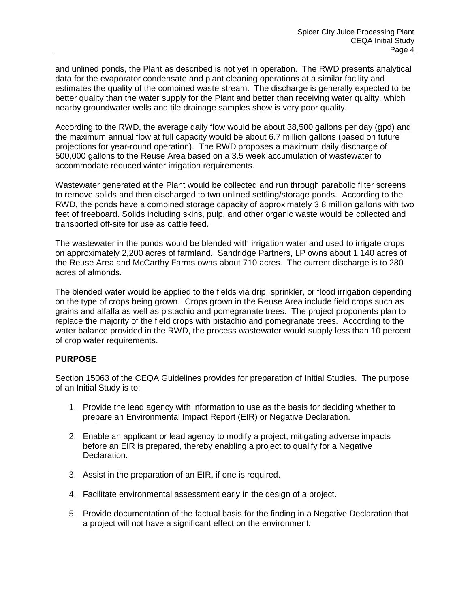and unlined ponds, the Plant as described is not yet in operation. The RWD presents analytical data for the evaporator condensate and plant cleaning operations at a similar facility and estimates the quality of the combined waste stream. The discharge is generally expected to be better quality than the water supply for the Plant and better than receiving water quality, which nearby groundwater wells and tile drainage samples show is very poor quality.

According to the RWD, the average daily flow would be about 38,500 gallons per day (gpd) and the maximum annual flow at full capacity would be about 6.7 million gallons (based on future projections for year-round operation). The RWD proposes a maximum daily discharge of 500,000 gallons to the Reuse Area based on a 3.5 week accumulation of wastewater to accommodate reduced winter irrigation requirements.

Wastewater generated at the Plant would be collected and run through parabolic filter screens to remove solids and then discharged to two unlined settling/storage ponds. According to the RWD, the ponds have a combined storage capacity of approximately 3.8 million gallons with two feet of freeboard. Solids including skins, pulp, and other organic waste would be collected and transported off-site for use as cattle feed.

The wastewater in the ponds would be blended with irrigation water and used to irrigate crops on approximately 2,200 acres of farmland. Sandridge Partners, LP owns about 1,140 acres of the Reuse Area and McCarthy Farms owns about 710 acres. The current discharge is to 280 acres of almonds.

The blended water would be applied to the fields via drip, sprinkler, or flood irrigation depending on the type of crops being grown. Crops grown in the Reuse Area include field crops such as grains and alfalfa as well as pistachio and pomegranate trees. The project proponents plan to replace the majority of the field crops with pistachio and pomegranate trees. According to the water balance provided in the RWD, the process wastewater would supply less than 10 percent of crop water requirements.

#### **PURPOSE**

Section 15063 of the CEQA Guidelines provides for preparation of Initial Studies. The purpose of an Initial Study is to:

- 1. Provide the lead agency with information to use as the basis for deciding whether to prepare an Environmental Impact Report (EIR) or Negative Declaration.
- 2. Enable an applicant or lead agency to modify a project, mitigating adverse impacts before an EIR is prepared, thereby enabling a project to qualify for a Negative Declaration.
- 3. Assist in the preparation of an EIR, if one is required.
- 4. Facilitate environmental assessment early in the design of a project.
- 5. Provide documentation of the factual basis for the finding in a Negative Declaration that a project will not have a significant effect on the environment.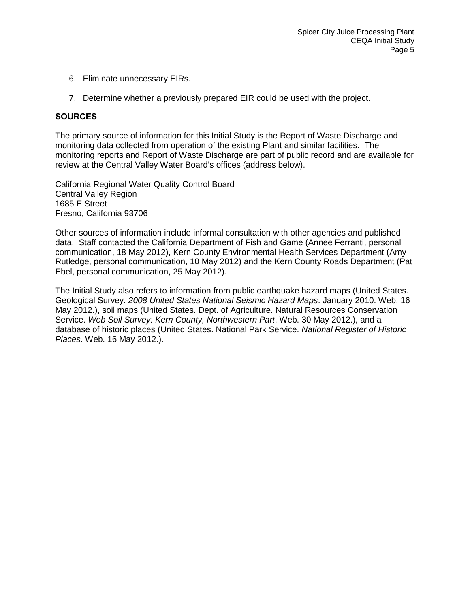- 6. Eliminate unnecessary EIRs.
- 7. Determine whether a previously prepared EIR could be used with the project.

#### **SOURCES**

The primary source of information for this Initial Study is the Report of Waste Discharge and monitoring data collected from operation of the existing Plant and similar facilities. The monitoring reports and Report of Waste Discharge are part of public record and are available for review at the Central Valley Water Board's offices (address below).

California Regional Water Quality Control Board Central Valley Region 1685 E Street Fresno, California 93706

Other sources of information include informal consultation with other agencies and published data. Staff contacted the California Department of Fish and Game (Annee Ferranti, personal communication, 18 May 2012), Kern County Environmental Health Services Department (Amy Rutledge, personal communication, 10 May 2012) and the Kern County Roads Department (Pat Ebel, personal communication, 25 May 2012).

The Initial Study also refers to information from public earthquake hazard maps (United States. Geological Survey. *2008 United States National Seismic Hazard Maps*. January 2010. Web. 16 May 2012.), soil maps (United States. Dept. of Agriculture. Natural Resources Conservation Service. *Web Soil Survey: Kern County, Northwestern Part*. Web. 30 May 2012.), and a database of historic places (United States. National Park Service. *National Register of Historic Places*. Web. 16 May 2012.).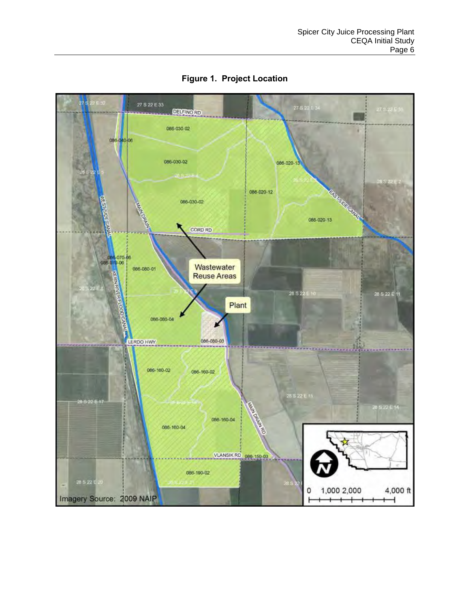<span id="page-9-0"></span>

**Figure 1. Project Location**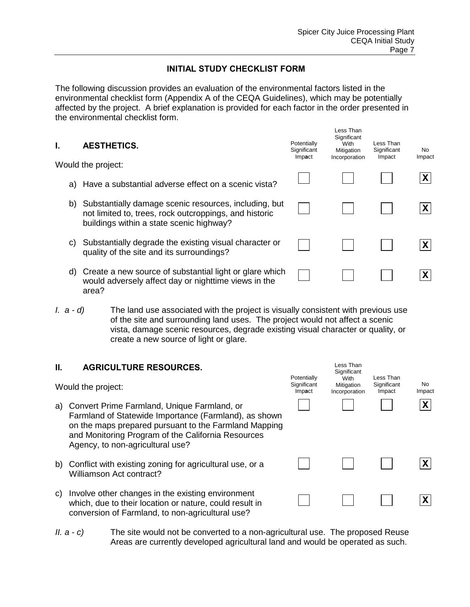## **INITIAL STUDY CHECKLIST FORM**

The following discussion provides an evaluation of the environmental factors listed in the environmental checklist form (Appendix A of the CEQA Guidelines), which may be potentially affected by the project. A brief explanation is provided for each factor in the order presented in the environmental checklist form.

| ı. | <b>AESTHETICS.</b>                                                                                                                                          | Potentially<br>Significant | Less Than<br>Significant<br>With<br>Mitigation | Less Than<br>Significant<br>Impact | No.    |
|----|-------------------------------------------------------------------------------------------------------------------------------------------------------------|----------------------------|------------------------------------------------|------------------------------------|--------|
|    | Would the project:                                                                                                                                          | Impact                     | Incorporation                                  |                                    | Impact |
|    | a) Have a substantial adverse effect on a scenic vista?                                                                                                     |                            |                                                |                                    |        |
| b) | Substantially damage scenic resources, including, but<br>not limited to, trees, rock outcroppings, and historic<br>buildings within a state scenic highway? |                            |                                                |                                    |        |
| C) | Substantially degrade the existing visual character or<br>quality of the site and its surroundings?                                                         |                            |                                                |                                    |        |
| d) | Create a new source of substantial light or glare which<br>would adversely affect day or nighttime views in the                                             |                            |                                                |                                    |        |

*I. a - d)* The land use associated with the project is visually consistent with previous use of the site and surrounding land uses. The project would not affect a scenic vista, damage scenic resources, degrade existing visual character or quality, or create a new source of light or glare.

#### **II. AGRICULTURE RESOURCES.**

Would the project:

area?

- a) Convert Prime Farmland, Unique Farmland, or Farmland of Statewide Importance (Farmland), as shown on the maps prepared pursuant to the Farmland Mapping and Monitoring Program of the California Resources Agency, to non-agricultural use?
- b) Conflict with existing zoning for agricultural use, or a Williamson Act contract?
- c) Involve other changes in the existing environment which, due to their location or nature, could result in conversion of Farmland, to non-agricultural use?
- *II. a c)* The site would not be converted to a non-agricultural use. The proposed Reuse Areas are currently developed agricultural land and would be operated as such.

| Potentially<br>Significant<br>Impact | Less Than<br>Significant<br>With<br>Mitigation<br>Incorporation | Less Than<br>Significant<br>Impact | No<br>Impact |
|--------------------------------------|-----------------------------------------------------------------|------------------------------------|--------------|
|                                      |                                                                 |                                    | X            |
|                                      |                                                                 |                                    |              |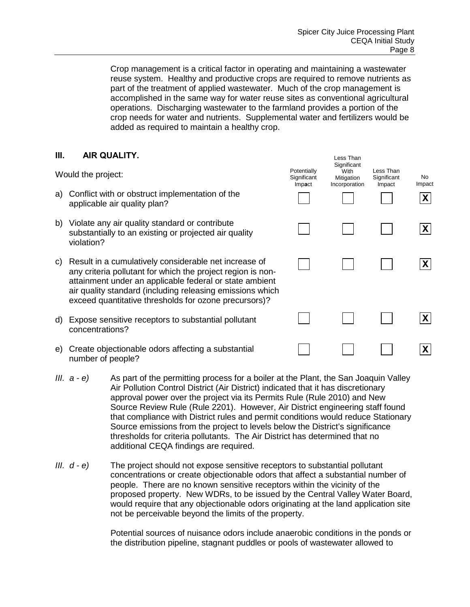Crop management is a critical factor in operating and maintaining a wastewater reuse system. Healthy and productive crops are required to remove nutrients as part of the treatment of applied wastewater. Much of the crop management is accomplished in the same way for water reuse sites as conventional agricultural operations. Discharging wastewater to the farmland provides a portion of the crop needs for water and nutrients. Supplemental water and fertilizers would be added as required to maintain a healthy crop.

### **III. AIR QUALITY.**

Would the project:

- a) Conflict with or obstruct implementation of the applicable air quality plan?
- b) Violate any air quality standard or contribute substantially to an existing or projected air quality violation?
- c) Result in a cumulatively considerable net increase of any criteria pollutant for which the project region is nonattainment under an applicable federal or state ambient air quality standard (including releasing emissions which exceed quantitative thresholds for ozone precursors)?
- d) Expose sensitive receptors to substantial pollutant concentrations?
- e) Create objectionable odors affecting a substantial number of people?
- *III. a e)* As part of the permitting process for a boiler at the Plant, the San Joaquin Valley Air Pollution Control District (Air District) indicated that it has discretionary approval power over the project via its Permits Rule (Rule 2010) and New Source Review Rule (Rule 2201). However, Air District engineering staff found that compliance with District rules and permit conditions would reduce Stationary Source emissions from the project to levels below the District's significance thresholds for criteria pollutants. The Air District has determined that no additional CEQA findings are required.
- *III. d e)* The project should not expose sensitive receptors to substantial pollutant concentrations or create objectionable odors that affect a substantial number of people. There are no known sensitive receptors within the vicinity of the proposed property. New WDRs, to be issued by the Central Valley Water Board, would require that any objectionable odors originating at the land application site not be perceivable beyond the limits of the property.

 Potential sources of nuisance odors include anaerobic conditions in the ponds or the distribution pipeline, stagnant puddles or pools of wastewater allowed to

| Potentially<br>Significant<br>Impact | Less Than<br>Significant<br>With<br>Mitigation<br>Incorporation | Less Than<br>Significant<br>Impact | No<br>Impact<br>$\overline{\textbf{X}}$ |
|--------------------------------------|-----------------------------------------------------------------|------------------------------------|-----------------------------------------|
|                                      |                                                                 |                                    | $ {\mathsf X} $                         |
|                                      |                                                                 |                                    | X                                       |
|                                      |                                                                 |                                    |                                         |
|                                      |                                                                 |                                    | $\boldsymbol{\mathsf{X}}$               |
|                                      |                                                                 |                                    | л                                       |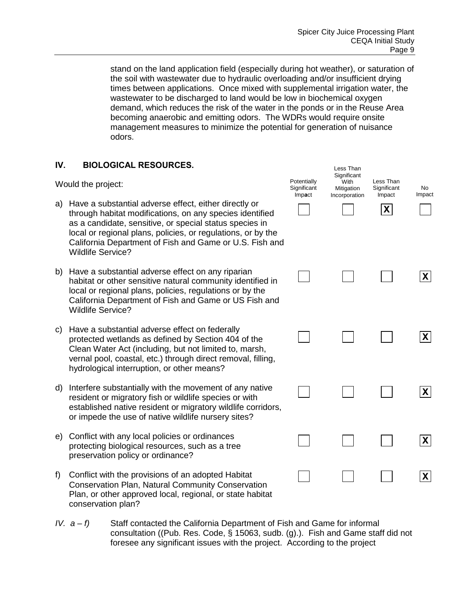stand on the land application field (especially during hot weather), or saturation of the soil with wastewater due to hydraulic overloading and/or insufficient drying times between applications. Once mixed with supplemental irrigation water, the wastewater to be discharged to land would be low in biochemical oxygen demand, which reduces the risk of the water in the ponds or in the Reuse Area becoming anaerobic and emitting odors. The WDRs would require onsite management measures to minimize the potential for generation of nuisance odors.

### **IV. BIOLOGICAL RESOURCES.**

Would the project:

- a) Have a substantial adverse effect, either directly or through habitat modifications, on any species identified as a candidate, sensitive, or special status species in local or regional plans, policies, or regulations, or by the California Department of Fish and Game or U.S. Fish and Wildlife Service?
- b) Have a substantial adverse effect on any riparian habitat or other sensitive natural community identified in local or regional plans, policies, regulations or by the California Department of Fish and Game or US Fish and Wildlife Service?
- c) Have a substantial adverse effect on federally protected wetlands as defined by Section 404 of the Clean Water Act (including, but not limited to, marsh, vernal pool, coastal, etc.) through direct removal, filling, hydrological interruption, or other means?
- d) Interfere substantially with the movement of any native resident or migratory fish or wildlife species or with established native resident or migratory wildlife corridors, or impede the use of native wildlife nursery sites?
- e) Conflict with any local policies or ordinances protecting biological resources, such as a tree preservation policy or ordinance?
- f) Conflict with the provisions of an adopted Habitat Conservation Plan, Natural Community Conservation Plan, or other approved local, regional, or state habitat conservation plan?
- *IV. a f)* Staff contacted the California Department of Fish and Game for informal consultation ((Pub. Res. Code, § 15063, sudb. (g).). Fish and Game staff did not foresee any significant issues with the project. According to the project

| Potentially<br>Significant<br>Impact | Less Than<br>Significant<br>With<br>Mitigation<br>Incorporation | Less Than<br>Significant<br>Impact<br>$\pmb{\mathsf{X}}$ | No<br>Impact    |
|--------------------------------------|-----------------------------------------------------------------|----------------------------------------------------------|-----------------|
|                                      |                                                                 |                                                          | $\mathsf{X}$    |
|                                      |                                                                 |                                                          | $\mathsf{X}$    |
|                                      |                                                                 |                                                          | $\vert X \vert$ |
|                                      |                                                                 |                                                          | $\mathbf{X}$    |
|                                      |                                                                 |                                                          | X               |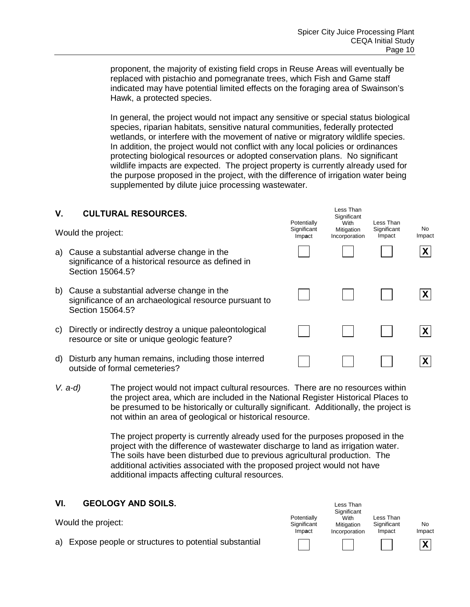proponent, the majority of existing field crops in Reuse Areas will eventually be replaced with pistachio and pomegranate trees, which Fish and Game staff indicated may have potential limited effects on the foraging area of Swainson's Hawk, a protected species.

 In general, the project would not impact any sensitive or special status biological species, riparian habitats, sensitive natural communities, federally protected wetlands, or interfere with the movement of native or migratory wildlife species. In addition, the project would not conflict with any local policies or ordinances protecting biological resources or adopted conservation plans. No significant wildlife impacts are expected. The project property is currently already used for the purpose proposed in the project, with the difference of irrigation water being supplemented by dilute juice processing wastewater.

| V. | <b>CULTURAL RESOURCES.</b>                                                                                              | Potentially           | Less Than<br>Significant<br>With | Less Than             |               |
|----|-------------------------------------------------------------------------------------------------------------------------|-----------------------|----------------------------------|-----------------------|---------------|
|    | Would the project:                                                                                                      | Significant<br>Impact | Mitigation<br>Incorporation      | Significant<br>Impact | No.<br>Impact |
| a) | Cause a substantial adverse change in the<br>significance of a historical resource as defined in<br>Section 15064.5?    |                       |                                  |                       | $\mathsf{X}$  |
| b) | Cause a substantial adverse change in the<br>significance of an archaeological resource pursuant to<br>Section 15064.5? |                       |                                  |                       | $\mathsf{X}$  |
| C) | Directly or indirectly destroy a unique paleontological<br>resource or site or unique geologic feature?                 |                       |                                  |                       | X             |
| d) | Disturb any human remains, including those interred<br>outside of formal cemeteries?                                    |                       |                                  |                       | X             |

*V. a-d)* The project would not impact cultural resources. There are no resources within the project area, which are included in the National Register Historical Places to be presumed to be historically or culturally significant. Additionally, the project is not within an area of geological or historical resource.

> The project property is currently already used for the purposes proposed in the project with the difference of wastewater discharge to land as irrigation water. The soils have been disturbed due to previous agricultural production. The additional activities associated with the proposed project would not have additional impacts affecting cultural resources.

> > Less Than

## **VI. GEOLOGY AND SOILS.**

| Would the project:                                      | Potentially<br>Significant<br>Impact | Significant<br>With<br>Mitigation<br>Incorporation | Less Than<br>Significant<br>Impact | No<br>Impact |
|---------------------------------------------------------|--------------------------------------|----------------------------------------------------|------------------------------------|--------------|
| a) Expose people or structures to potential substantial |                                      |                                                    |                                    |              |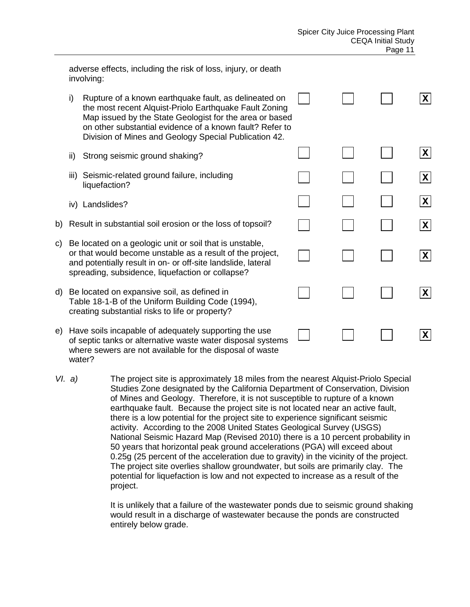|     |     | adverse effects, including the risk of loss, injury, or death<br>involving:                                                                                                                                                                                                                     |  |                 |
|-----|-----|-------------------------------------------------------------------------------------------------------------------------------------------------------------------------------------------------------------------------------------------------------------------------------------------------|--|-----------------|
|     | i)  | Rupture of a known earthquake fault, as delineated on<br>the most recent Alquist-Priolo Earthquake Fault Zoning<br>Map issued by the State Geologist for the area or based<br>on other substantial evidence of a known fault? Refer to<br>Division of Mines and Geology Special Publication 42. |  | $ {\mathsf X} $ |
|     | ii) | Strong seismic ground shaking?                                                                                                                                                                                                                                                                  |  | $ {\mathsf X} $ |
|     |     | iii) Seismic-related ground failure, including<br>liquefaction?                                                                                                                                                                                                                                 |  | $ \mathsf{X} $  |
|     |     | iv) Landslides?                                                                                                                                                                                                                                                                                 |  | $ \mathsf{X} $  |
|     |     | b) Result in substantial soil erosion or the loss of topsoil?                                                                                                                                                                                                                                   |  | $ \mathsf{X} $  |
| c)  |     | Be located on a geologic unit or soil that is unstable,<br>or that would become unstable as a result of the project,<br>and potentially result in on- or off-site landslide, lateral<br>spreading, subsidence, liquefaction or collapse?                                                        |  | $ \mathsf{X} $  |
| d)  |     | Be located on expansive soil, as defined in<br>Table 18-1-B of the Uniform Building Code (1994),<br>creating substantial risks to life or property?                                                                                                                                             |  | $ \mathsf{X} $  |
| e). |     | Have soils incapable of adequately supporting the use<br>of septic tanks or alternative waste water disposal systems<br>where sewers are not available for the disposal of waste                                                                                                                |  | $ \mathbf{X} $  |

*VI. a)* The project site is approximately 18 miles from the nearest Alquist-Priolo Special Studies Zone designated by the California Department of Conservation, Division of Mines and Geology. Therefore, it is not susceptible to rupture of a known earthquake fault. Because the project site is not located near an active fault, there is a low potential for the project site to experience significant seismic activity. According to the 2008 United States Geological Survey (USGS) National Seismic Hazard Map (Revised 2010) there is a 10 percent probability in 50 years that horizontal peak ground accelerations (PGA) will exceed about 0.25g (25 percent of the acceleration due to gravity) in the vicinity of the project. The project site overlies shallow groundwater, but soils are primarily clay. The potential for liquefaction is low and not expected to increase as a result of the project.

water?

It is unlikely that a failure of the wastewater ponds due to seismic ground shaking would result in a discharge of wastewater because the ponds are constructed entirely below grade.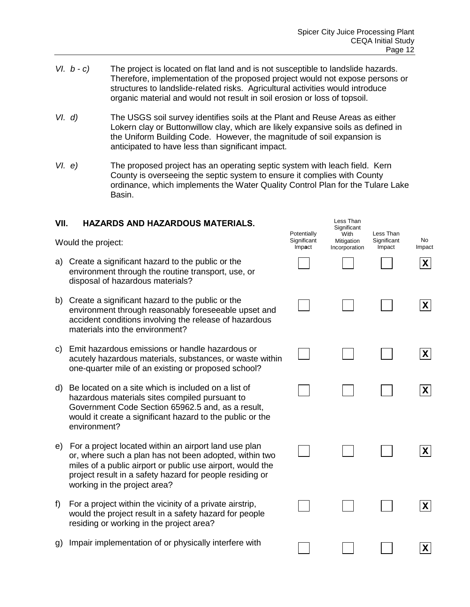- *VI. b c)* The project is located on flat land and is not susceptible to landslide hazards. Therefore, implementation of the proposed project would not expose persons or structures to landslide-related risks. Agricultural activities would introduce organic material and would not result in soil erosion or loss of topsoil.
- *VI. d)* The USGS soil survey identifies soils at the Plant and Reuse Areas as either Lokern clay or Buttonwillow clay, which are likely expansive soils as defined in the Uniform Building Code. However, the magnitude of soil expansion is anticipated to have less than significant impact.
- *VI. e)* The proposed project has an operating septic system with leach field. Kern County is overseeing the septic system to ensure it complies with County ordinance, which implements the Water Quality Control Plan for the Tulare Lake Basin.

| VII. | <b>HAZARDS AND HAZARDOUS MATERIALS.</b>                                                                                                                                                                                                                                   | Potentially           | Less Than<br>Significant            | Less Than             |               |
|------|---------------------------------------------------------------------------------------------------------------------------------------------------------------------------------------------------------------------------------------------------------------------------|-----------------------|-------------------------------------|-----------------------|---------------|
|      | Would the project:                                                                                                                                                                                                                                                        | Significant<br>Impact | With<br>Mitigation<br>Incorporation | Significant<br>Impact | No.<br>Impact |
| a)   | Create a significant hazard to the public or the<br>environment through the routine transport, use, or<br>disposal of hazardous materials?                                                                                                                                |                       |                                     |                       | $\mathbf{X}$  |
| b)   | Create a significant hazard to the public or the<br>environment through reasonably foreseeable upset and<br>accident conditions involving the release of hazardous<br>materials into the environment?                                                                     |                       |                                     |                       | $\mathsf{X}$  |
| C)   | Emit hazardous emissions or handle hazardous or<br>acutely hazardous materials, substances, or waste within<br>one-quarter mile of an existing or proposed school?                                                                                                        |                       |                                     |                       | $\mathsf{X}$  |
| d)   | Be located on a site which is included on a list of<br>hazardous materials sites compiled pursuant to<br>Government Code Section 65962.5 and, as a result,<br>would it create a significant hazard to the public or the<br>environment?                                   |                       |                                     |                       | $\mathsf{X}$  |
| e)   | For a project located within an airport land use plan<br>or, where such a plan has not been adopted, within two<br>miles of a public airport or public use airport, would the<br>project result in a safety hazard for people residing or<br>working in the project area? |                       |                                     |                       | $\mathsf{X}$  |
| f    | For a project within the vicinity of a private airstrip,<br>would the project result in a safety hazard for people<br>residing or working in the project area?                                                                                                            |                       |                                     |                       | $\mathsf{X}$  |
| g)   | Impair implementation of or physically interfere with                                                                                                                                                                                                                     |                       |                                     |                       | X             |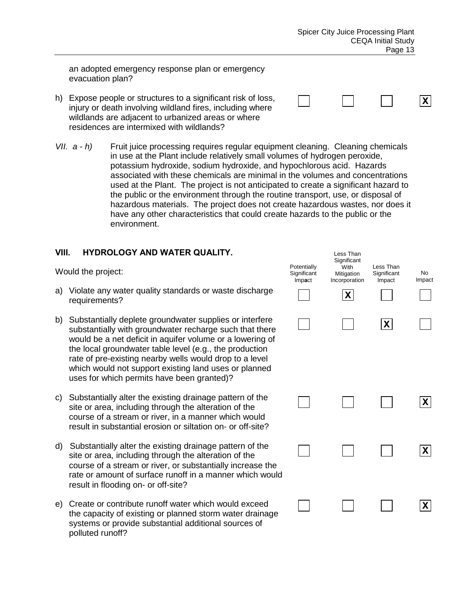**X**

an adopted emergency response plan or emergency evacuation plan?

- h) Expose people or structures to a significant risk of loss, injury or death involving wildland fires, including where wildlands are adjacent to urbanized areas or where residences are intermixed with wildlands?
- *VII. a h)* Fruit juice processing requires regular equipment cleaning. Cleaning chemicals in use at the Plant include relatively small volumes of hydrogen peroxide, potassium hydroxide, sodium hydroxide, and hypochlorous acid. Hazards associated with these chemicals are minimal in the volumes and concentrations used at the Plant. The project is not anticipated to create a significant hazard to the public or the environment through the routine transport, use, or disposal of hazardous materials. The project does not create hazardous wastes, nor does it have any other characteristics that could create hazards to the public or the environment.

### **VIII. HYDROLOGY AND WATER QUALITY.**

Would the project:

- a) Violate any water quality standards or waste discharge requirements?
- b) Substantially deplete groundwater supplies or interfere substantially with groundwater recharge such that there would be a net deficit in aquifer volume or a lowering of the local groundwater table level (e.g., the production rate of pre-existing nearby wells would drop to a level which would not support existing land uses or planned uses for which permits have been granted)?
- c) Substantially alter the existing drainage pattern of the site or area, including through the alteration of the course of a stream or river, in a manner which would result in substantial erosion or siltation on- or off-site?
- d) Substantially alter the existing drainage pattern of the site or area, including through the alteration of the course of a stream or river, or substantially increase the rate or amount of surface runoff in a manner which would result in flooding on- or off-site?
- e) Create or contribute runoff water which would exceed the capacity of existing or planned storm water drainage systems or provide substantial additional sources of polluted runoff?

| Potentially<br>Significant<br>Impact | Less Than<br>Significant<br>With<br>Mitigation<br>Incorporation<br>$\pmb{\mathsf{X}}$ | Less Than<br>Significant<br>Impact | No<br>Impact |
|--------------------------------------|---------------------------------------------------------------------------------------|------------------------------------|--------------|
|                                      |                                                                                       | $ \mathbf{X} $                     |              |
|                                      |                                                                                       |                                    | X            |
|                                      |                                                                                       |                                    | ΙX           |
|                                      |                                                                                       |                                    |              |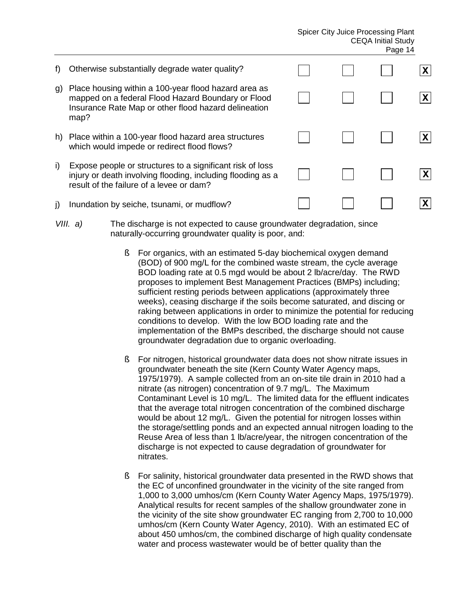#### Spicer City Juice Processing Plant CEQA Initial Study Page 14

| $\mathbf{f}$ | Otherwise substantially degrade water quality?                                                                                                                             |  | $\mathbf{X}$ |
|--------------|----------------------------------------------------------------------------------------------------------------------------------------------------------------------------|--|--------------|
| g)           | Place housing within a 100-year flood hazard area as<br>mapped on a federal Flood Hazard Boundary or Flood<br>Insurance Rate Map or other flood hazard delineation<br>map? |  | $\mathbf{X}$ |
| h)           | Place within a 100-year flood hazard area structures<br>which would impede or redirect flood flows?                                                                        |  | $\mathsf{x}$ |
| i)           | Expose people or structures to a significant risk of loss<br>injury or death involving flooding, including flooding as a<br>result of the failure of a levee or dam?       |  | $\mathbf{X}$ |
| j)           | Inundation by seiche, tsunami, or mudflow?                                                                                                                                 |  | $\mathsf{x}$ |
|              |                                                                                                                                                                            |  |              |

- *VIII. a)* The discharge is not expected to cause groundwater degradation, since naturally-occurring groundwater quality is poor, and:
	- § For organics, with an estimated 5-day biochemical oxygen demand (BOD) of 900 mg/L for the combined waste stream, the cycle average BOD loading rate at 0.5 mgd would be about 2 lb/acre/day. The RWD proposes to implement Best Management Practices (BMPs) including; sufficient resting periods between applications (approximately three weeks), ceasing discharge if the soils become saturated, and discing or raking between applications in order to minimize the potential for reducing conditions to develop. With the low BOD loading rate and the implementation of the BMPs described, the discharge should not cause groundwater degradation due to organic overloading.
	- § For nitrogen, historical groundwater data does not show nitrate issues in groundwater beneath the site (Kern County Water Agency maps, 1975/1979). A sample collected from an on-site tile drain in 2010 had a nitrate (as nitrogen) concentration of 9.7 mg/L. The Maximum Contaminant Level is 10 mg/L. The limited data for the effluent indicates that the average total nitrogen concentration of the combined discharge would be about 12 mg/L. Given the potential for nitrogen losses within the storage/settling ponds and an expected annual nitrogen loading to the Reuse Area of less than 1 lb/acre/year, the nitrogen concentration of the discharge is not expected to cause degradation of groundwater for nitrates.
	- **§** For salinity, historical groundwater data presented in the RWD shows that the EC of unconfined groundwater in the vicinity of the site ranged from 1,000 to 3,000 umhos/cm (Kern County Water Agency Maps, 1975/1979). Analytical results for recent samples of the shallow groundwater zone in the vicinity of the site show groundwater EC ranging from 2,700 to 10,000 umhos/cm (Kern County Water Agency, 2010). With an estimated EC of about 450 umhos/cm, the combined discharge of high quality condensate water and process wastewater would be of better quality than the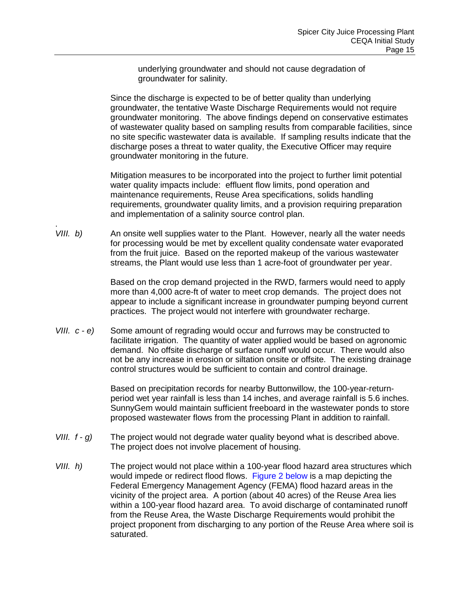underlying groundwater and should not cause degradation of groundwater for salinity.

Since the discharge is expected to be of better quality than underlying groundwater, the tentative Waste Discharge Requirements would not require groundwater monitoring. The above findings depend on conservative estimates of wastewater quality based on sampling results from comparable facilities, since no site specific wastewater data is available. If sampling results indicate that the discharge poses a threat to water quality, the Executive Officer may require groundwater monitoring in the future.

Mitigation measures to be incorporated into the project to further limit potential water quality impacts include: effluent flow limits, pond operation and maintenance requirements, Reuse Area specifications, solids handling requirements, groundwater quality limits, and a provision requiring preparation and implementation of a salinity source control plan.

. *VIII. b*) An onsite well supplies water to the Plant. However, nearly all the water needs for processing would be met by excellent quality condensate water evaporated from the fruit juice. Based on the reported makeup of the various wastewater streams, the Plant would use less than 1 acre-foot of groundwater per year.

> Based on the crop demand projected in the RWD, farmers would need to apply more than 4,000 acre-ft of water to meet crop demands. The project does not appear to include a significant increase in groundwater pumping beyond current practices. The project would not interfere with groundwater recharge.

*VIII. c - e)* Some amount of regrading would occur and furrows may be constructed to facilitate irrigation. The quantity of water applied would be based on agronomic demand. No offsite discharge of surface runoff would occur. There would also not be any increase in erosion or siltation onsite or offsite. The existing drainage control structures would be sufficient to contain and control drainage.

> Based on precipitation records for nearby Buttonwillow, the 100-year-returnperiod wet year rainfall is less than 14 inches, and average rainfall is 5.6 inches. SunnyGem would maintain sufficient freeboard in the wastewater ponds to store proposed wastewater flows from the processing Plant in addition to rainfall.

- *VIII. f g)* The project would not degrade water quality beyond what is described above. The project does not involve placement of housing.
- *VIII. h)* The project would not place within a 100-year flood hazard area structures which would impede or redirect flood flows. Figure 2 below is a map depicting the Federal Emergency Management Agency (FEMA) flood hazard areas in the vicinity of the project area. A portion (about 40 acres) of the Reuse Area lies within a 100-year flood hazard area. To avoid discharge of contaminated runoff from the Reuse Area, the Waste Discharge Requirements would prohibit the project proponent from discharging to any portion of the Reuse Area where soil is saturated.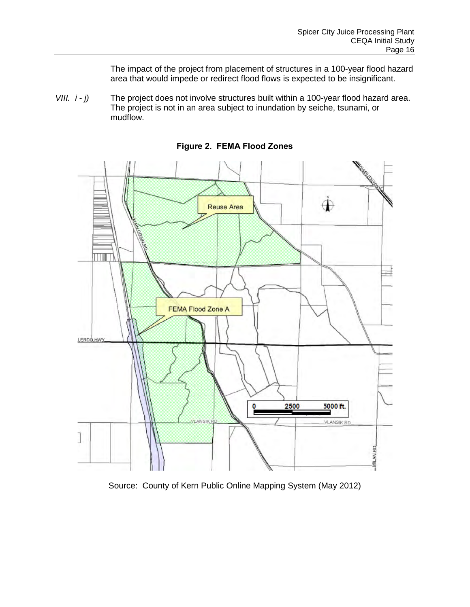The impact of the project from placement of structures in a 100-year flood hazard area that would impede or redirect flood flows is expected to be insignificant.

*VIII. i - j)* The project does not involve structures built within a 100-year flood hazard area. The project is not in an area subject to inundation by seiche, tsunami, or mudflow.

<span id="page-19-0"></span>

**Figure 2. FEMA Flood Zones**

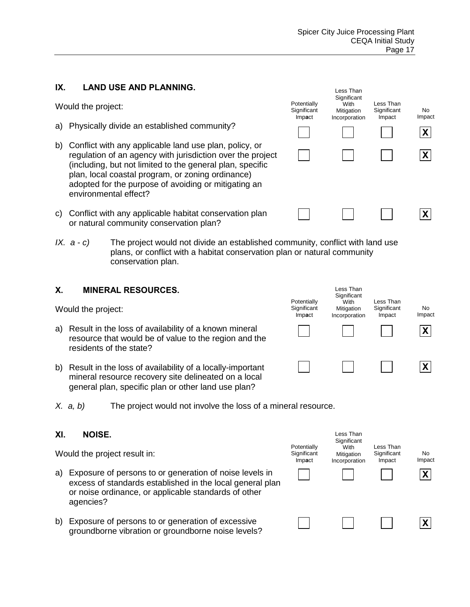Less Than **Significant** With Mitigation Incorporation

Less Than **Significant** Impact

**Potentially Significant** Imp**a**ct

**X**

No Impact

**X**

**X**

### **IX. LAND USE AND PLANNING.**

Would the project:

- a) Physically divide an established community?
- b) Conflict with any applicable land use plan, policy, or regulation of an agency with jurisdiction over the project (including, but not limited to the general plan, specific plan, local coastal program, or zoning ordinance) adopted for the purpose of avoiding or mitigating an environmental effect?
- c) Conflict with any applicable habitat conservation plan or natural community conservation plan?
- *IX. a c*) The project would not divide an established community, conflict with land use plans, or conflict with a habitat conservation plan or natural community conservation plan.

#### **X. MINERAL RESOURCES.**

Would the project:

- a) Result in the loss of availability of a known mineral resource that would be of value to the region and the residents of the state?
- b) Result in the loss of availability of a locally-important mineral resource recovery site delineated on a local general plan, specific plan or other land use plan?



#### **XI. NOISE.**

Would the project result in:

- a) Exposure of persons to or generation of noise levels in excess of standards established in the local general plan or noise ordinance, or applicable standards of other agencies?
- b) Exposure of persons to or generation of excessive groundborne vibration or groundborne noise levels?



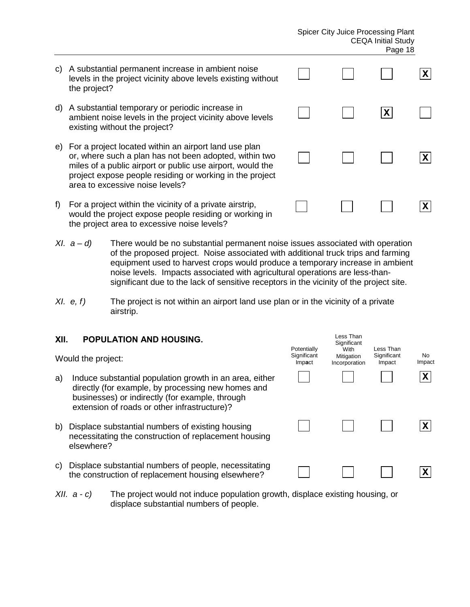#### Spicer City Juice Processing Plant CEQA Initial Study Page 18

- c) A substantial permanent increase in ambient noise levels in the project vicinity above levels existing without the project?
- d) A substantial temporary or periodic increase in ambient noise levels in the project vicinity above levels existing without the project?
- e) For a project located within an airport land use plan or, where such a plan has not been adopted, within two miles of a public airport or public use airport, would the project expose people residing or working in the project area to excessive noise levels?
- f) For a project within the vicinity of a private airstrip, would the project expose people residing or working in the project area to excessive noise levels?
- *XI. a d)* There would be no substantial permanent noise issues associated with operation of the proposed project. Noise associated with additional truck trips and farming equipment used to harvest crops would produce a temporary increase in ambient noise levels. Impacts associated with agricultural operations are less-thansignificant due to the lack of sensitive receptors in the vicinity of the project site.
- *XI.* e, f) The project is not within an airport land use plan or in the vicinity of a private airstrip.

#### **XII. POPULATION AND HOUSING.**

Would the project:

- a) Induce substantial population growth in an area, either directly (for example, by processing new homes and businesses) or indirectly (for example, through extension of roads or other infrastructure)?
- b) Displace substantial numbers of existing housing necessitating the construction of replacement housing elsewhere?
- c) Displace substantial numbers of people, necessitating the construction of replacement housing elsewhere?
- *XII. a c)* The project would not induce population growth, displace existing housing, or displace substantial numbers of people.

| Potentially<br>Significant<br>Impact | Less Than<br>Significant<br>With<br>Mitigation<br>Incorporation | Less Than<br>Significant<br>Impact | No<br>Impact |
|--------------------------------------|-----------------------------------------------------------------|------------------------------------|--------------|
|                                      |                                                                 |                                    |              |
|                                      |                                                                 |                                    | X            |
|                                      |                                                                 |                                    |              |

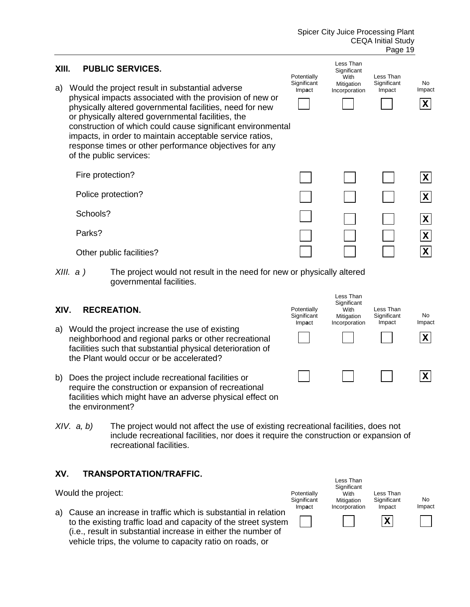|                                                                                                                                                                                                                       |                                                                                                                |                                                                                                                                                                                                                                                                                                                                                                                            |                                      |                                                                 | ı ayu ıu                           |                                           |  |
|-----------------------------------------------------------------------------------------------------------------------------------------------------------------------------------------------------------------------|----------------------------------------------------------------------------------------------------------------|--------------------------------------------------------------------------------------------------------------------------------------------------------------------------------------------------------------------------------------------------------------------------------------------------------------------------------------------------------------------------------------------|--------------------------------------|-----------------------------------------------------------------|------------------------------------|-------------------------------------------|--|
| XIII.<br>a)                                                                                                                                                                                                           |                                                                                                                | <b>PUBLIC SERVICES.</b><br>Would the project result in substantial adverse                                                                                                                                                                                                                                                                                                                 | Potentially<br>Significant           | Less Than<br>Significant<br>With<br>Mitigation                  | Less Than<br>Significant           | No<br>Impact                              |  |
|                                                                                                                                                                                                                       |                                                                                                                | physical impacts associated with the provision of new or<br>physically altered governmental facilities, need for new<br>or physically altered governmental facilities, the<br>construction of which could cause significant environmental<br>impacts, in order to maintain acceptable service ratios,<br>response times or other performance objectives for any<br>of the public services: | Impact                               | Incorporation                                                   | Impact                             | $\mathsf{X}$                              |  |
|                                                                                                                                                                                                                       | Fire protection?                                                                                               |                                                                                                                                                                                                                                                                                                                                                                                            |                                      |                                                                 |                                    | $\boldsymbol{X}$                          |  |
|                                                                                                                                                                                                                       |                                                                                                                | Police protection?                                                                                                                                                                                                                                                                                                                                                                         |                                      |                                                                 |                                    | $\mathsf{x}$                              |  |
|                                                                                                                                                                                                                       | Schools?                                                                                                       |                                                                                                                                                                                                                                                                                                                                                                                            |                                      |                                                                 |                                    | X                                         |  |
|                                                                                                                                                                                                                       | Parks?                                                                                                         | Other public facilities?                                                                                                                                                                                                                                                                                                                                                                   |                                      |                                                                 |                                    | $\boldsymbol{\mathsf{X}}$<br>$\mathbf{x}$ |  |
|                                                                                                                                                                                                                       | XIII. a)<br>The project would not result in the need for new or physically altered<br>governmental facilities. |                                                                                                                                                                                                                                                                                                                                                                                            |                                      |                                                                 |                                    |                                           |  |
| XIV.                                                                                                                                                                                                                  |                                                                                                                | <b>RECREATION.</b>                                                                                                                                                                                                                                                                                                                                                                         | Potentially<br>Significant<br>Impact | Less Than<br>Significant<br>With<br>Mitigation<br>Incorporation | Less Than<br>Significant<br>Impact | No<br>Impact                              |  |
| a)                                                                                                                                                                                                                    |                                                                                                                | Would the project increase the use of existing<br>neighborhood and regional parks or other recreational<br>facilities such that substantial physical deterioration of<br>the Plant would occur or be accelerated?                                                                                                                                                                          |                                      |                                                                 |                                    | $\mathbf{X}$                              |  |
| b)                                                                                                                                                                                                                    | the environment?                                                                                               | Does the project include recreational facilities or<br>require the construction or expansion of recreational<br>facilities which might have an adverse physical effect on                                                                                                                                                                                                                  |                                      |                                                                 |                                    | X                                         |  |
| The project would not affect the use of existing recreational facilities, does not<br>XIV. a, b)<br>include recreational facilities, nor does it require the construction or expansion of<br>recreational facilities. |                                                                                                                |                                                                                                                                                                                                                                                                                                                                                                                            |                                      |                                                                 |                                    |                                           |  |
| XV.                                                                                                                                                                                                                   |                                                                                                                | <b>TRANSPORTATION/TRAFFIC.</b>                                                                                                                                                                                                                                                                                                                                                             |                                      | Less Than                                                       |                                    |                                           |  |
|                                                                                                                                                                                                                       | Would the project:                                                                                             |                                                                                                                                                                                                                                                                                                                                                                                            | Potentially<br>Significant           | Significant<br>With<br>Mitigation                               | Less Than<br>Significant           | No                                        |  |
| a)                                                                                                                                                                                                                    |                                                                                                                | Cause an increase in traffic which is substantial in relation<br>to the existing traffic load and capacity of the street system<br>(i.e., result in substantial increase in either the number of<br>vehicle trips, the volume to capacity ratio on roads, or                                                                                                                               | Impact                               | Incorporation                                                   | Impact<br>X                        | Impact                                    |  |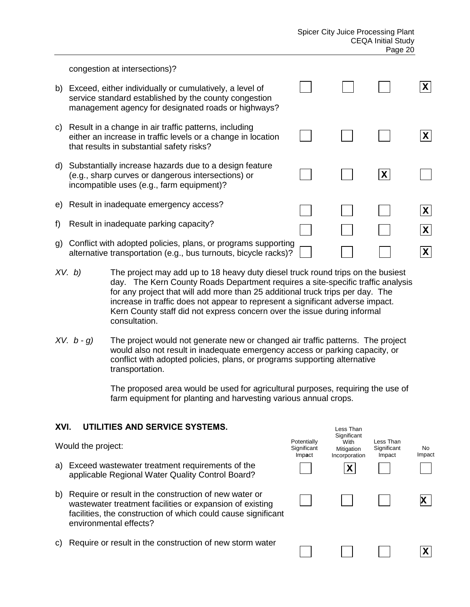Less Than **Significant** 

**X**

congestion at intersections)?

- b) Exceed, either individually or cumulatively, a level of service standard established by the county congestion management agency for designated roads or highways? c) Result in a change in air traffic patterns, including either an increase in traffic levels or a change in location that results in substantial safety risks? d) Substantially increase hazards due to a design feature (e.g., sharp curves or dangerous intersections) or incompatible uses (e.g., farm equipment)? e) Result in inadequate emergency access? f) Result in inadequate parking capacity? g) Conflict with adopted policies, plans, or programs supporting alternative transportation (e.g., bus turnouts, bicycle racks)? **X X X X X X**
- *XV. b)* The project may add up to 18 heavy duty diesel truck round trips on the busiest day. The Kern County Roads Department requires a site-specific traffic analysis for any project that will add more than 25 additional truck trips per day. The increase in traffic does not appear to represent a significant adverse impact. Kern County staff did not express concern over the issue during informal consultation.
- *XV. b g)* The project would not generate new or changed air traffic patterns. The project would also not result in inadequate emergency access or parking capacity, or conflict with adopted policies, plans, or programs supporting alternative transportation.

 The proposed area would be used for agricultural purposes, requiring the use of farm equipment for planting and harvesting various annual crops.

## **XVI. UTILITIES AND SERVICE SYSTEMS.**

- Would the project: a) Exceed wastewater treatment requirements of the applicable Regional Water Quality Control Board? b) Require or result in the construction of new water or wastewater treatment facilities or expansion of existing facilities, the construction of which could cause significant environmental effects? **X X Potentially Significant** Imp**a**ct With Mitigation Incorporation Less Than **Significant** Impact No Impact
- c) Require or result in the construction of new storm water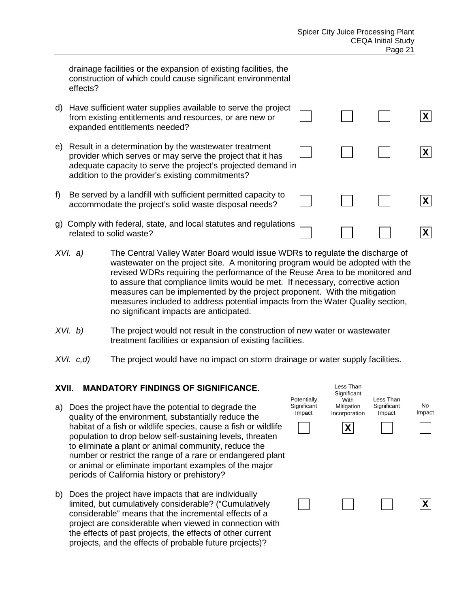drainage facilities or the expansion of existing facilities, the construction of which could cause significant environmental effects?

| d) | Have sufficient water supplies available to serve the project<br>from existing entitlements and resources, or are new or<br>expanded entitlements needed?                                                                               |  |  |
|----|-----------------------------------------------------------------------------------------------------------------------------------------------------------------------------------------------------------------------------------------|--|--|
| e) | Result in a determination by the wastewater treatment<br>provider which serves or may serve the project that it has<br>adequate capacity to serve the project's projected demand in<br>addition to the provider's existing commitments? |  |  |
| f  | Be served by a landfill with sufficient permitted capacity to<br>accommodate the project's solid waste disposal needs?                                                                                                                  |  |  |
| Q) | Comply with federal, state, and local statutes and regulations<br>related to solid waste?                                                                                                                                               |  |  |

- *XVI. a)* The Central Valley Water Board would issue WDRs to regulate the discharge of wastewater on the project site. A monitoring program would be adopted with the revised WDRs requiring the performance of the Reuse Area to be monitored and to assure that compliance limits would be met. If necessary, corrective action measures can be implemented by the project proponent. With the mitigation measures included to address potential impacts from the Water Quality section, no significant impacts are anticipated.
- *XVI. b)* The project would not result in the construction of new water or wastewater treatment facilities or expansion of existing facilities.
- *XVI. c,d)* The project would have no impact on storm drainage or water supply facilities.

#### **XVII. MANDATORY FINDINGS OF SIGNIFICANCE.**

- a) Does the project have the potential to degrade the quality of the environment, substantially reduce the habitat of a fish or wildlife species, cause a fish or wildlife population to drop below self-sustaining levels, threaten to eliminate a plant or animal community, reduce the number or restrict the range of a rare or endangered plant or animal or eliminate important examples of the major periods of California history or prehistory?
- b) Does the project have impacts that are individually limited, but cumulatively considerable? ("Cumulatively considerable" means that the incremental effects of a project are considerable when viewed in connection with the effects of past projects, the effects of other current projects, and the effects of probable future projects)?

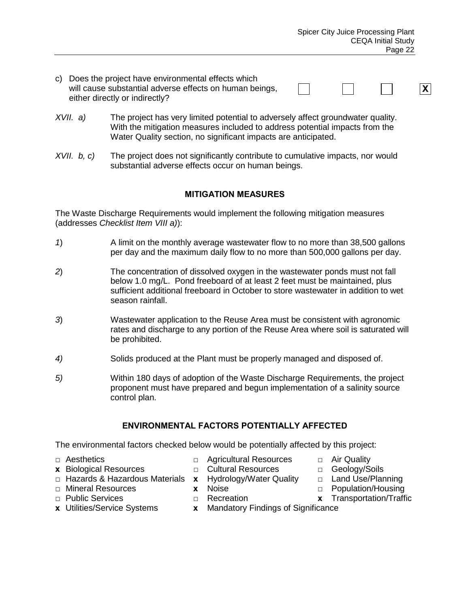**X**

- c) Does the project have environmental effects which will cause substantial adverse effects on human beings, either directly or indirectly?
- *XVII. a)* The project has very limited potential to adversely affect groundwater quality. With the mitigation measures included to address potential impacts from the Water Quality section, no significant impacts are anticipated.
- *XVII. b, c)* The project does not significantly contribute to cumulative impacts, nor would substantial adverse effects occur on human beings.

## **MITIGATION MEASURES**

The Waste Discharge Requirements would implement the following mitigation measures (addresses *Checklist Item VIII a)*):

- *1*) A limit on the monthly average wastewater flow to no more than 38,500 gallons per day and the maximum daily flow to no more than 500,000 gallons per day.
- *2*) The concentration of dissolved oxygen in the wastewater ponds must not fall below 1.0 mg/L. Pond freeboard of at least 2 feet must be maintained, plus sufficient additional freeboard in October to store wastewater in addition to wet season rainfall.
- *3*) Wastewater application to the Reuse Area must be consistent with agronomic rates and discharge to any portion of the Reuse Area where soil is saturated will be prohibited.
- *4)* Solids produced at the Plant must be properly managed and disposed of.
- *5)* Within 180 days of adoption of the Waste Discharge Requirements, the project proponent must have prepared and begun implementation of a salinity source control plan.

#### **ENVIRONMENTAL FACTORS POTENTIALLY AFFECTED**

The environmental factors checked below would be potentially affected by this project:

- 
- 
- **x** Biological Resources **□ Cultural Resources** □ Geology/Soils<br>□ Hazards & Hazardous Materials **x** Hydrology/Water Quality □ Land Use/Planning □ Hazards & Hazardous Materials **x** Hydrology/Water Quality
- **□** Mineral Resources **x** Noise **□** Population/Housing
- **□** Public Services **□** Recreation **x** Transportation/Traffic
- 
- **□** Aesthetics **□** Agricultural Resources **□** Air Quality
	-
	-
	-
	-
- **x** Utilities/Service Systems **x** Mandatory Findings of Significance
- -
- 
- 
-